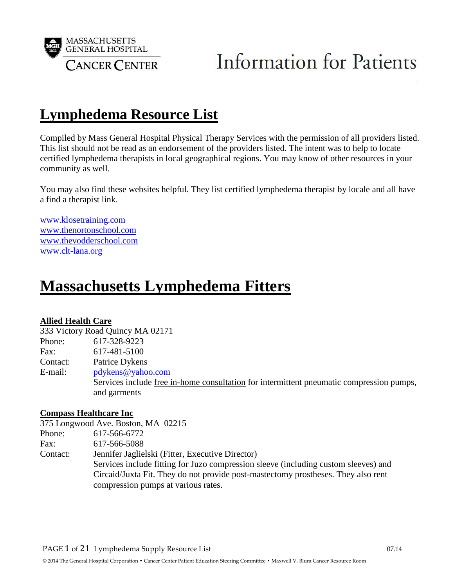

## **Lymphedema Resource List**

Compiled by Mass General Hospital Physical Therapy Services with the permission of all providers listed. This list should not be read as an endorsement of the providers listed. The intent was to help to locate certified lymphedema therapists in local geographical regions. You may know of other resources in your community as well.

You may also find these websites helpful. They list certified lymphedema therapist by locale and all have a find a therapist link.

www.klosetraining.com www.thenortonschool.com www.thevodderschool.com [www.clt-lana.org](http://www.clt-lana.org/)

## **Massachusetts Lymphedema Fitters**

#### **Allied Health Care**

333 Victory Road Quincy MA 02171

Phone: 617-328-9223

Fax: 617-481-5100

Contact: Patrice Dykens

E-mail: [pdykens@yahoo.com](mailto:pdykens@yahoo.com)

Services include free in-home consultation for intermittent pneumatic compression pumps, and garments

#### **Compass Healthcare Inc**

|          | 375 Longwood Ave. Boston, MA 02215                                                  |
|----------|-------------------------------------------------------------------------------------|
| Phone:   | 617-566-6772                                                                        |
| Fax:     | 617-566-5088                                                                        |
| Contact: | Jennifer Jaglielski (Fitter, Executive Director)                                    |
|          | Services include fitting for Juzo compression sleeve (including custom sleeves) and |
|          | Circaid/Juxta Fit. They do not provide post-mastectomy prostheses. They also rent   |
|          | compression pumps at various rates.                                                 |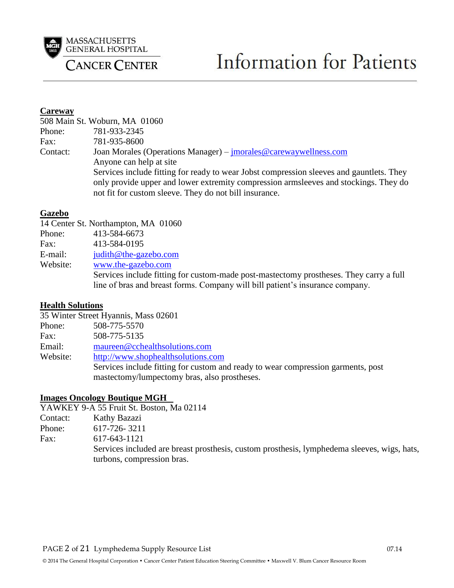

# **Information for Patients**

#### **Careway**

|          | 508 Main St. Woburn, MA 01060                                                                                                                                                                                                              |
|----------|--------------------------------------------------------------------------------------------------------------------------------------------------------------------------------------------------------------------------------------------|
| Phone:   | 781-933-2345                                                                                                                                                                                                                               |
| Fax:     | 781-935-8600                                                                                                                                                                                                                               |
| Contact: | Joan Morales (Operations Manager) – <i>jmorales@carewaywellness.com</i><br>Anyone can help at site                                                                                                                                         |
|          | Services include fitting for ready to wear Jobst compression sleeves and gauntlets. They<br>only provide upper and lower extremity compression armsleeves and stockings. They do<br>not fit for custom sleeve. They do not bill insurance. |

#### **Gazebo**

|          | 14 Center St. Northampton, MA 01060                                                    |
|----------|----------------------------------------------------------------------------------------|
| Phone:   | 413-584-6673                                                                           |
| Fax:     | 413-584-0195                                                                           |
| E-mail:  | judith@the-gazebo.com                                                                  |
| Website: | www.the-gazebo.com                                                                     |
|          | Services include fitting for custom-made post-mastectomy prostheses. They carry a full |
|          | line of bras and breast forms. Company will bill patient's insurance company.          |

#### **Health Solutions**

|          | 35 Winter Street Hyannis, Mass 02601                                             |
|----------|----------------------------------------------------------------------------------|
| Phone:   | 508-775-5570                                                                     |
| Fax:     | 508-775-5135                                                                     |
| Email:   | maureen@cchealthsolutions.com                                                    |
| Website: | http://www.shophealthsolutions.com                                               |
|          | Services include fitting for custom and ready to wear compression garments, post |
|          | mastectomy/lumpectomy bras, also prostheses.                                     |

#### **Images Oncology Boutique MGH**

|          | YAWKEY 9-A 55 Fruit St. Boston, Ma 02114                                                                                  |
|----------|---------------------------------------------------------------------------------------------------------------------------|
| Contact: | Kathy Bazazi                                                                                                              |
| Phone:   | 617-726-3211                                                                                                              |
| Fax:     | 617-643-1121                                                                                                              |
|          | Services included are breast prosthesis, custom prosthesis, lymphedema sleeves, wigs, hats,<br>turbons, compression bras. |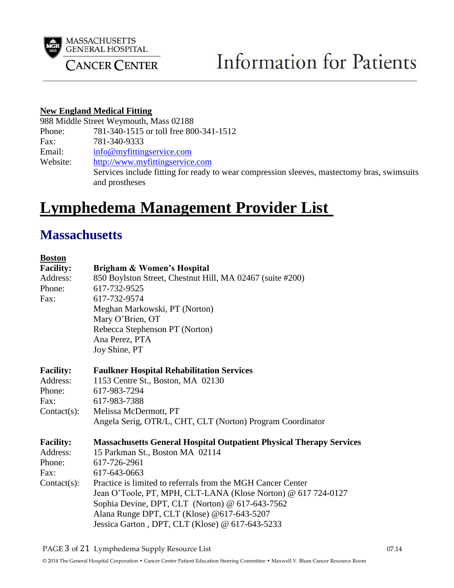

#### **New England Medical Fitting**

988 Middle Street Weymouth, Mass 02188

Phone: 781-340-1515 or toll free 800-341-1512

Fax: 781-340-9333

Email: [info@myfittingservice.com](mailto:info@myfittingservice.com)

Website: [http://www.myfittingservice.com](http://www.myfittingservice.com/)

Services include fitting for ready to wear compression sleeves, mastectomy bras, swimsuits and prostheses

## **Lymphedema Management Provider List**

### **Massachusetts**

| <b>Boston</b>    |                                                                            |
|------------------|----------------------------------------------------------------------------|
| <b>Facility:</b> | Brigham & Women's Hospital                                                 |
| Address:         | 850 Boylston Street, Chestnut Hill, MA 02467 (suite #200)                  |
| Phone:           | 617-732-9525                                                               |
| Fax:             | 617-732-9574                                                               |
|                  | Meghan Markowski, PT (Norton)                                              |
|                  | Mary O'Brien, OT                                                           |
|                  | Rebecca Stephenson PT (Norton)                                             |
|                  | Ana Perez, PTA                                                             |
|                  | Joy Shine, PT                                                              |
| <b>Facility:</b> | <b>Faulkner Hospital Rehabilitation Services</b>                           |
| Address:         | 1153 Centre St., Boston, MA 02130                                          |
| Phone:           | 617-983-7294                                                               |
| Fax:             | 617-983-7388                                                               |
| $Context(s)$ :   | Melissa McDermott, PT                                                      |
|                  | Angela Serig, OTR/L, CHT, CLT (Norton) Program Coordinator                 |
| <b>Facility:</b> | <b>Massachusetts General Hospital Outpatient Physical Therapy Services</b> |
| Address:         | 15 Parkman St., Boston MA 02114                                            |
| Phone:           | 617-726-2961                                                               |
| Fax:             | 617-643-0663                                                               |
| $Context(s)$ :   | Practice is limited to referrals from the MGH Cancer Center                |
|                  | Jean O'Toole, PT, MPH, CLT-LANA (Klose Norton) @ 617 724-0127              |
|                  | Sophia Devine, DPT, CLT (Norton) @ 617-643-7562                            |
|                  | Alana Runge DPT, CLT (Klose) @617-643-5207                                 |
|                  | Jessica Garton, DPT, CLT (Klose) @ 617-643-5233                            |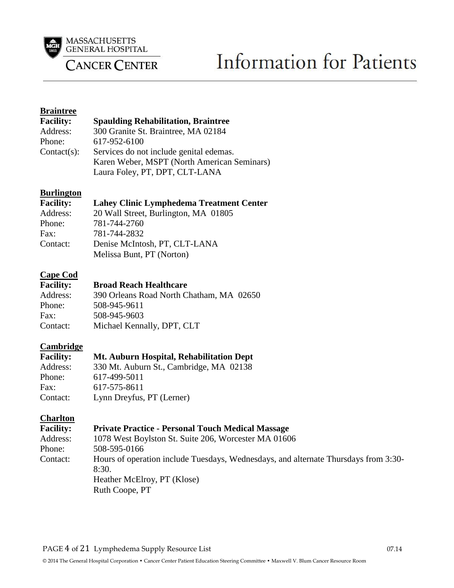

# **Information for Patients**

#### **Braintree**

| <b>Facility:</b> | <b>Spaulding Rehabilitation, Braintree</b>  |
|------------------|---------------------------------------------|
| Address:         | 300 Granite St. Braintree, MA 02184         |
| Phone:           | 617-952-6100                                |
| $Context(s)$ :   | Services do not include genital edemas.     |
|                  | Karen Weber, MSPT (North American Seminars) |
|                  | Laura Foley, PT, DPT, CLT-LANA              |

#### **Burlington**

| <b>Facility:</b> | <b>Lahey Clinic Lymphedema Treatment Center</b>            |
|------------------|------------------------------------------------------------|
| Address:         | 20 Wall Street, Burlington, MA 01805                       |
| Phone:           | 781-744-2760                                               |
| Fax:             | 781-744-2832                                               |
| Contact:         | Denise McIntosh, PT, CLT-LANA<br>Melissa Bunt, PT (Norton) |

# **Cape Cod**

#### **Broad Reach Healthcare**

| Address: | 390 Orleans Road North Chatham, MA 02650 |
|----------|------------------------------------------|
| Phone:   | 508-945-9611                             |
| Fax:     | 508-945-9603                             |
| Contact: | Michael Kennally, DPT, CLT               |

#### **Cambridge**

| <b>Facility:</b> | Mt. Auburn Hospital, Rehabilitation Dept |
|------------------|------------------------------------------|
| Address:         | 330 Mt. Auburn St., Cambridge, MA 02138  |
| Phone:           | 617-499-5011                             |
| Fax:             | 617-575-8611                             |
| Contact:         | Lynn Dreyfus, PT (Lerner)                |

#### **Charlton**

| <b>Facility:</b> | <b>Private Practice - Personal Touch Medical Massage</b>                                                                                      |
|------------------|-----------------------------------------------------------------------------------------------------------------------------------------------|
| Address:         | 1078 West Boylston St. Suite 206, Worcester MA 01606                                                                                          |
| Phone:           | 508-595-0166                                                                                                                                  |
| Contact:         | Hours of operation include Tuesdays, Wednesdays, and alternate Thursdays from 3:30-<br>8:30.<br>Heather McElroy, PT (Klose)<br>Ruth Coope, PT |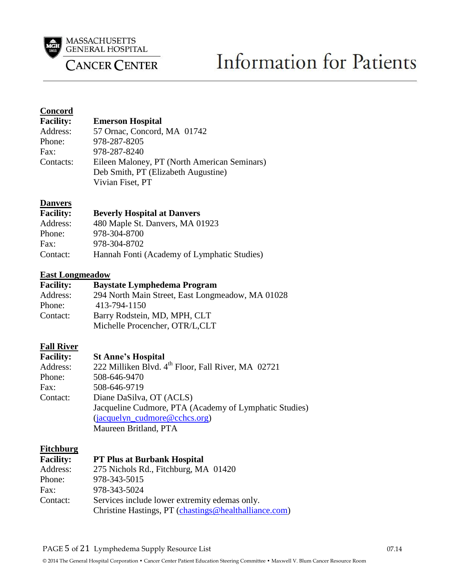

# **Information for Patients**

#### **Concord**

| <b>Facility:</b> | <b>Emerson Hospital</b>                      |
|------------------|----------------------------------------------|
| Address:         | 57 Ornac, Concord, MA 01742                  |
| Phone:           | 978-287-8205                                 |
| Fax:             | 978-287-8240                                 |
| Contacts:        | Eileen Maloney, PT (North American Seminars) |
|                  | Deb Smith, PT (Elizabeth Augustine)          |
|                  | Vivian Fiset, PT                             |

#### **Danvers**

| <b>Facility:</b> | <b>Beverly Hospital at Danvers</b>          |
|------------------|---------------------------------------------|
| Address:         | 480 Maple St. Danvers, MA 01923             |
| Phone:           | 978-304-8700                                |
| Fax:             | 978-304-8702                                |
| Contact:         | Hannah Fonti (Academy of Lymphatic Studies) |

#### **East Longmeadow**

| <b>Facility:</b> | <b>Baystate Lymphedema Program</b>               |
|------------------|--------------------------------------------------|
| Address:         | 294 North Main Street, East Longmeadow, MA 01028 |
| Phone:           | 413-794-1150                                     |
| Contact:         | Barry Rodstein, MD, MPH, CLT                     |
|                  | Michelle Procencher, OTR/L,CLT                   |

#### **Fall River**

| <b>Facility:</b> | <b>St Anne's Hospital</b>                                      |
|------------------|----------------------------------------------------------------|
| Address:         | 222 Milliken Blvd. 4 <sup>th</sup> Floor, Fall River, MA 02721 |
| Phone:           | 508-646-9470                                                   |
| Fax:             | 508-646-9719                                                   |
| Contact:         | Diane DaSilva, OT (ACLS)                                       |
|                  | Jacqueline Cudmore, PTA (Academy of Lymphatic Studies)         |
|                  | $(iacquelyn_cudmore@cches.org)$                                |
|                  | Maureen Britland, PTA                                          |

#### **Fitchburg**

| <b>Facility:</b> | <b>PT Plus at Burbank Hospital</b>                    |
|------------------|-------------------------------------------------------|
| Address:         | 275 Nichols Rd., Fitchburg, MA 01420                  |
| Phone:           | 978-343-5015                                          |
| Fax:             | 978-343-5024                                          |
| Contact:         | Services include lower extremity edemas only.         |
|                  | Christine Hastings, PT (chastings@healthalliance.com) |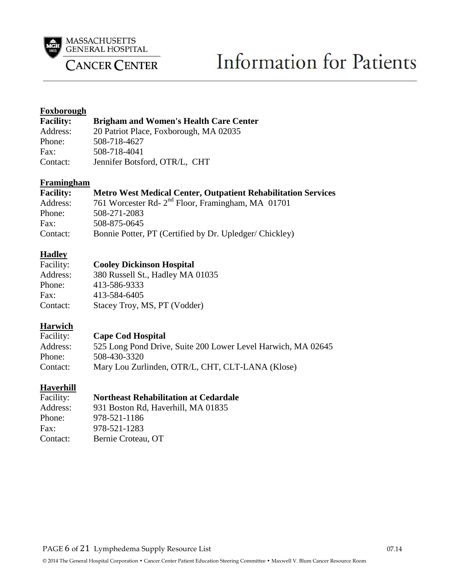

# **Information for Patients**

#### **Foxborough**

| <b>Facility:</b> | <b>Brigham and Women's Health Care Center</b> |
|------------------|-----------------------------------------------|
| Address:         | 20 Patriot Place, Foxborough, MA 02035        |
| Phone:           | 508-718-4627                                  |
| Fax:             | 508-718-4041                                  |
| Contact:         | Jennifer Botsford, OTR/L, CHT                 |

#### **Framingham**

| <b>Facility:</b> | <b>Metro West Medical Center, Outpatient Rehabilitation Services</b> |
|------------------|----------------------------------------------------------------------|
| Address:         | 761 Worcester Rd- 2 <sup>nd</sup> Floor, Framingham, MA 01701        |
| Phone:           | 508-271-2083                                                         |
| Fax:             | 508-875-0645                                                         |
| Contact:         | Bonnie Potter, PT (Certified by Dr. Upledger/Chickley)               |

# **Hadley**<br>Facility:

#### **Cooley Dickinson Hospital**

| Address: | 380 Russell St., Hadley MA 01035 |
|----------|----------------------------------|
| Phone:   | 413-586-9333                     |
| Fax:     | 413-584-6405                     |
| Contact: | Stacey Troy, MS, PT (Vodder)     |

#### **Harwich**

| Facility: | <b>Cape Cod Hospital</b>                                     |
|-----------|--------------------------------------------------------------|
| Address:  | 525 Long Pond Drive, Suite 200 Lower Level Harwich, MA 02645 |
| Phone:    | 508-430-3320                                                 |
| Contact:  | Mary Lou Zurlinden, OTR/L, CHT, CLT-LANA (Klose)             |

#### **Haverhill Facility:**

| <b>Northeast Rehabilitation at Cedardale</b> |
|----------------------------------------------|
| $0.21$ Docton Dd Haverhill MA $0.1925$       |

| Address: | 931 Boston Rd, Haverhill, MA 01835 |
|----------|------------------------------------|
| Phone:   | 978-521-1186                       |
| Fax:     | 978-521-1283                       |
| Contact: | Bernie Croteau, OT                 |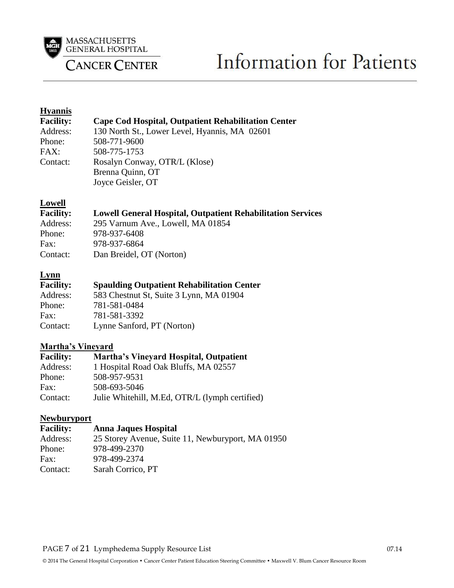

# **Information for Patients**

#### **Hyannis**

| <b>Facility:</b> | <b>Cape Cod Hospital, Outpatient Rehabilitation Center</b> |
|------------------|------------------------------------------------------------|
| Address:         | 130 North St., Lower Level, Hyannis, MA 02601              |
| Phone:           | 508-771-9600                                               |
| FAX:             | 508-775-1753                                               |
| Contact:         | Rosalyn Conway, OTR/L (Klose)                              |
|                  | Brenna Quinn, OT                                           |
|                  | Joyce Geisler, OT                                          |

#### **Lowell**

| <b>Facility:</b> | <b>Lowell General Hospital, Outpatient Rehabilitation Services</b> |
|------------------|--------------------------------------------------------------------|
| Address:         | 295 Varnum Ave., Lowell, MA 01854                                  |
| Phone:           | 978-937-6408                                                       |
| Fax:             | 978-937-6864                                                       |
| Contact:         | Dan Breidel, OT (Norton)                                           |

#### **Lynn**

| <b>Spaulding Outpatient Rehabilitation Center</b> |
|---------------------------------------------------|
| 583 Chestnut St, Suite 3 Lynn, MA 01904           |
| 781-581-0484                                      |
| 781-581-3392                                      |
| Lynne Sanford, PT (Norton)                        |
|                                                   |

#### **Martha's Vineyard**

| <b>Facility:</b> | <b>Martha's Vineyard Hospital, Outpatient</b>  |
|------------------|------------------------------------------------|
| Address:         | 1 Hospital Road Oak Bluffs, MA 02557           |
| Phone:           | 508-957-9531                                   |
| Fax:             | 508-693-5046                                   |
| Contact:         | Julie Whitehill, M.Ed, OTR/L (lymph certified) |

#### **Newburyport**

| <b>Facility:</b> | <b>Anna Jaques Hospital</b>                       |
|------------------|---------------------------------------------------|
| Address:         | 25 Storey Avenue, Suite 11, Newburyport, MA 01950 |
| Phone:           | 978-499-2370                                      |
| Fax:             | 978-499-2374                                      |
| Contact:         | Sarah Corrico, PT                                 |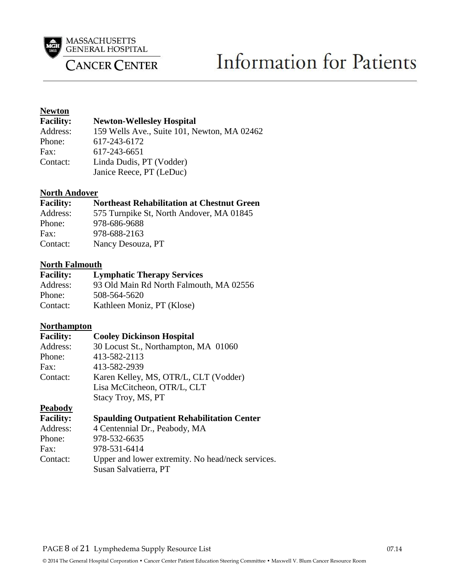

# **Information for Patients**

# **Newton**<br>Facility:

#### **Newton-Wellesley Hospital**

| Address: | 159 Wells Ave., Suite 101, Newton, MA 02462 |
|----------|---------------------------------------------|
| Phone:   | 617-243-6172                                |
| Fax:     | 617-243-6651                                |
| Contact: | Linda Dudis, PT (Vodder)                    |
|          | Janice Reece, PT (LeDuc)                    |

#### **North Andover**

#### **Facility: Northeast Rehabilitation at Chestnut Green**

| Address: | 575 Turnpike St, North Andover, MA 01845 |
|----------|------------------------------------------|
| Phone:   | 978-686-9688                             |
| Fax:     | 978-688-2163                             |
| Contact: | Nancy Desouza, PT                        |

#### **North Falmouth**

| <b>Facility:</b> | <b>Lymphatic Therapy Services</b>       |
|------------------|-----------------------------------------|
| Address:         | 93 Old Main Rd North Falmouth, MA 02556 |
| Phone:           | 508-564-5620                            |
| Contact:         | Kathleen Moniz, PT (Klose)              |

#### **Northampton**

#### **Facility: Cooley Dickinson Hospital**

| Address: | 30 Locust St., Northampton, MA 01060  |
|----------|---------------------------------------|
| Phone:   | 413-582-2113                          |
| Fax:     | 413-582-2939                          |
| Contact: | Karen Kelley, MS, OTR/L, CLT (Vodder) |
|          | Lisa McCitcheon, OTR/L, CLT           |
|          | Stacy Troy, MS, PT                    |

#### **Peabody**

| <b>Facility:</b> | <b>Spaulding Outpatient Rehabilitation Center</b> |
|------------------|---------------------------------------------------|
| Address:         | 4 Centennial Dr., Peabody, MA                     |
| Phone:           | 978-532-6635                                      |
| Fax:             | 978-531-6414                                      |
| Contact:         | Upper and lower extremity. No head/neck services. |
|                  | Susan Salvatierra, PT                             |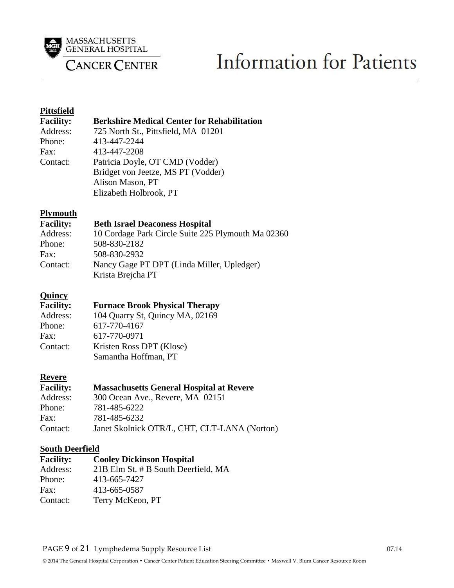

# **Information for Patients**

#### **Pittsfield**

| <b>Facility:</b> | <b>Berkshire Medical Center for Rehabilitation</b> |
|------------------|----------------------------------------------------|
| Address:         | 725 North St., Pittsfield, MA 01201                |
| Phone:           | 413-447-2244                                       |
| Fax:             | 413-447-2208                                       |
| Contact:         | Patricia Doyle, OT CMD (Vodder)                    |
|                  | Bridget von Jeetze, MS PT (Vodder)                 |
|                  | Alison Mason, PT                                   |
|                  | Elizabeth Holbrook, PT                             |

#### **Plymouth**

#### **Facility: Beth Israel Deaconess Hospital**

| Address: | 10 Cordage Park Circle Suite 225 Plymouth Ma 02360 |
|----------|----------------------------------------------------|
| Phone:   | 508-830-2182                                       |
| Fax:     | 508-830-2932                                       |
| Contact: | Nancy Gage PT DPT (Linda Miller, Upledger)         |
|          | Krista Brejcha PT                                  |
|          |                                                    |

#### **Quincy**

#### **Facility: Furnace Brook Physical Therapy**

| Address: | 104 Quarry St, Quincy MA, 02169 |
|----------|---------------------------------|
| Phone:   | 617-770-4167                    |
| Fax:     | 617-770-0971                    |
| Contact: | Kristen Ross DPT (Klose)        |
|          | Samantha Hoffman, PT            |
|          |                                 |

#### **Revere**

| <b>Facility:</b> | <b>Massachusetts General Hospital at Revere</b> |
|------------------|-------------------------------------------------|
| Address:         | 300 Ocean Ave., Revere, MA 02151                |
| Phone:           | 781-485-6222                                    |
| Fax:             | 781-485-6232                                    |
| Contact:         | Janet Skolnick OTR/L, CHT, CLT-LANA (Norton)    |

# **South Deerfield<br>Facility: C**

#### **Facility: Cooley Dickinson Hospital** Address: 21B Elm St. # B South Deerfield, MA Phone: 413-665-7427 Fax: 413-665-0587 Contact: Terry McKeon, PT

#### PAGE 9 of 21 Lymphedema Supply Resource List 07.14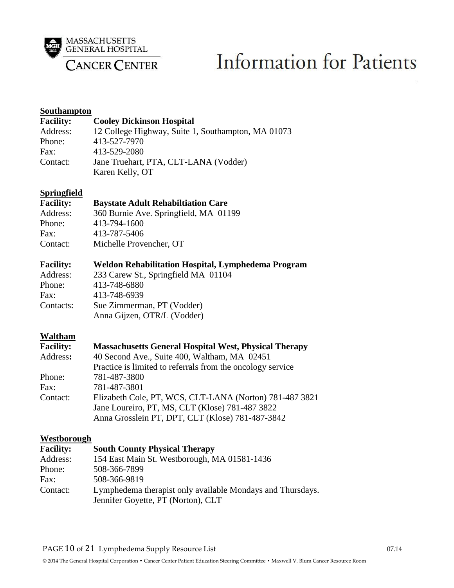

# **Information for Patients**

#### **Southampton**

| <b>Facility:</b> | <b>Cooley Dickinson Hospital</b>                   |
|------------------|----------------------------------------------------|
| Address:         | 12 College Highway, Suite 1, Southampton, MA 01073 |
| Phone:           | 413-527-7970                                       |
| Fax:             | 413-529-2080                                       |
| Contact:         | Jane Truehart, PTA, CLT-LANA (Vodder)              |
|                  | Karen Kelly, OT                                    |

#### **Springfield**

#### **Facility: Baystate Adult Rehabiltiation Care**

| Address: | 360 Burnie Ave. Springfield, MA 01199 |
|----------|---------------------------------------|
| Phone:   | 413-794-1600                          |
| Fax:     | 413-787-5406                          |
| Contact: | Michelle Provencher, OT               |
|          |                                       |

#### **Facility: Weldon Rehabilitation Hospital, Lymphedema Program**

| Address:  | 233 Carew St., Springfield MA 01104 |
|-----------|-------------------------------------|
| Phone:    | 413-748-6880                        |
| Fax:      | 413-748-6939                        |
| Contacts: | Sue Zimmerman, PT (Vodder)          |
|           | Anna Gijzen, OTR/L (Vodder)         |

#### **Waltham**

| <b>Facility:</b> | <b>Massachusetts General Hospital West, Physical Therapy</b> |
|------------------|--------------------------------------------------------------|
| Address:         | 40 Second Ave., Suite 400, Waltham, MA 02451                 |
|                  | Practice is limited to referrals from the oncology service   |
| Phone:           | 781-487-3800                                                 |
| Fax:             | 781-487-3801                                                 |
| Contact:         | Elizabeth Cole, PT, WCS, CLT-LANA (Norton) 781-487 3821      |
|                  | Jane Loureiro, PT, MS, CLT (Klose) 781-487 3822              |
|                  | Anna Grosslein PT, DPT, CLT (Klose) 781-487-3842             |

#### **Westborough**

| <b>Facility:</b> | <b>South County Physical Therapy</b>                       |
|------------------|------------------------------------------------------------|
| Address:         | 154 East Main St. Westborough, MA 01581-1436               |
| Phone:           | 508-366-7899                                               |
| Fax:             | 508-366-9819                                               |
| Contact:         | Lymphedema therapist only available Mondays and Thursdays. |
|                  | Jennifer Goyette, PT (Norton), CLT                         |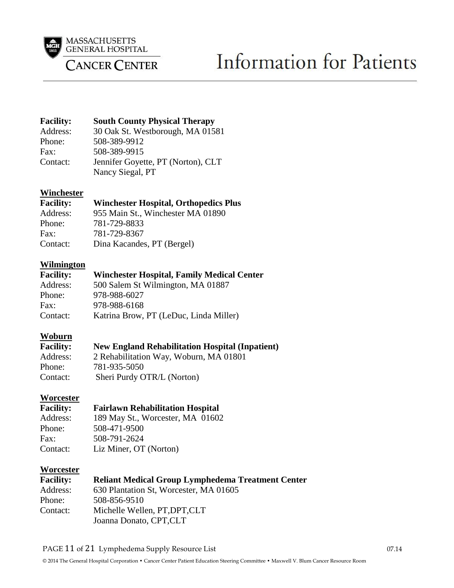

# **Information for Patients**

| <b>Facility:</b> | <b>South County Physical Therapy</b> |
|------------------|--------------------------------------|
| Address:         | 30 Oak St. Westborough, MA 01581     |
| Phone:           | 508-389-9912                         |
| Fax:             | 508-389-9915                         |
| Contact:         | Jennifer Goyette, PT (Norton), CLT   |
|                  | Nancy Siegal, PT                     |

#### **Winchester**

#### **Facility: Winchester Hospital, Orthopedics Plus**

| Address: | 955 Main St., Winchester MA 01890 |
|----------|-----------------------------------|
| Phone:   | 781-729-8833                      |
| Fax:     | 781-729-8367                      |
| Contact: | Dina Kacandes, PT (Bergel)        |

#### **Wilmington**

| <b>Facility:</b> | <b>Winchester Hospital, Family Medical Center</b> |
|------------------|---------------------------------------------------|
| Address:         | 500 Salem St Wilmington, MA 01887                 |
| Phone:           | 978-988-6027                                      |
| Fax:             | 978-988-6168                                      |
| Contact:         | Katrina Brow, PT (LeDuc, Linda Miller)            |

#### **Woburn**

| <b>Facility:</b> | <b>New England Rehabilitation Hospital (Inpatient)</b> |
|------------------|--------------------------------------------------------|
| Address:         | 2 Rehabilitation Way, Woburn, MA 01801                 |
| Phone:           | 781-935-5050                                           |
| Contact:         | Sheri Purdy OTR/L (Norton)                             |

#### **Worcester**

| <b>Facility:</b> |  | <b>Fairlawn Rehabilitation Hospital</b> |  |
|------------------|--|-----------------------------------------|--|
|------------------|--|-----------------------------------------|--|

| 189 May St., Worcester, MA 01602 |  |
|----------------------------------|--|
| 508-471-9500                     |  |
| 508-791-2624                     |  |
| Liz Miner, OT (Norton)           |  |
|                                  |  |

#### **Worcester**

| <b>Facility:</b> | <b>Reliant Medical Group Lymphedema Treatment Center</b> |
|------------------|----------------------------------------------------------|
| Address:         | 630 Plantation St, Worcester, MA 01605                   |
| Phone:           | 508-856-9510                                             |
| Contact:         | Michelle Wellen, PT, DPT, CLT                            |
|                  | Joanna Donato, CPT, CLT                                  |

#### PAGE 11 of 21 Lymphedema Supply Resource List 07.14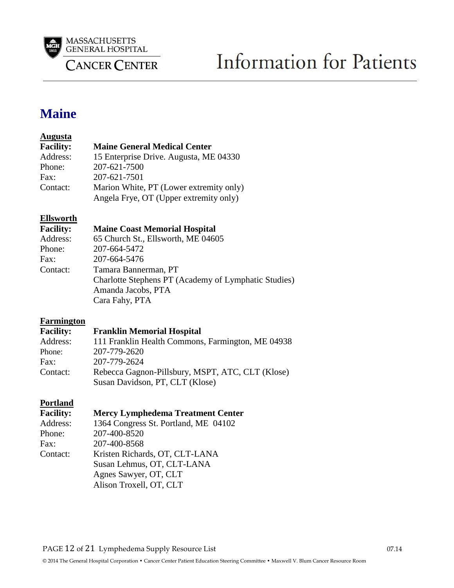

## **Maine**

#### **Augusta**

| <b>Facility:</b> | <b>Maine General Medical Center</b>     |
|------------------|-----------------------------------------|
| Address:         | 15 Enterprise Drive. Augusta, ME 04330  |
| Phone:           | 207-621-7500                            |
| Fax:             | 207-621-7501                            |
| Contact:         | Marion White, PT (Lower extremity only) |
|                  | Angela Frye, OT (Upper extremity only)  |

### **Ellsworth**

#### **Facility: Maine Coast Memorial Hospital**

| Address: | 65 Church St., Ellsworth, ME 04605                   |
|----------|------------------------------------------------------|
| Phone:   | 207-664-5472                                         |
| Fax:     | 207-664-5476                                         |
| Contact: | Tamara Bannerman, PT                                 |
|          | Charlotte Stephens PT (Academy of Lymphatic Studies) |
|          | Amanda Jacobs, PTA                                   |
|          | Cara Fahy, PTA                                       |
|          |                                                      |

#### **Farmington**

| <b>Facility:</b> | <b>Franklin Memorial Hospital</b>                 |
|------------------|---------------------------------------------------|
| Address:         | 111 Franklin Health Commons, Farmington, ME 04938 |
| Phone:           | 207-779-2620                                      |
| Fax:             | 207-779-2624                                      |
| Contact:         | Rebecca Gagnon-Pillsbury, MSPT, ATC, CLT (Klose)  |
|                  | Susan Davidson, PT, CLT (Klose)                   |

## **Portland**<br>Facility

#### **Facility: Mercy Lymphedema Treatment Center**

| 1 испісу і | меге, путриевени ттейинене сене      |
|------------|--------------------------------------|
| Address:   | 1364 Congress St. Portland, ME 04102 |
| Phone:     | 207-400-8520                         |
| Fax:       | 207-400-8568                         |
| Contact:   | Kristen Richards, OT, CLT-LANA       |
|            | Susan Lehmus, OT, CLT-LANA           |
|            | Agnes Sawyer, OT, CLT                |
|            | Alison Troxell, OT, CLT              |
|            |                                      |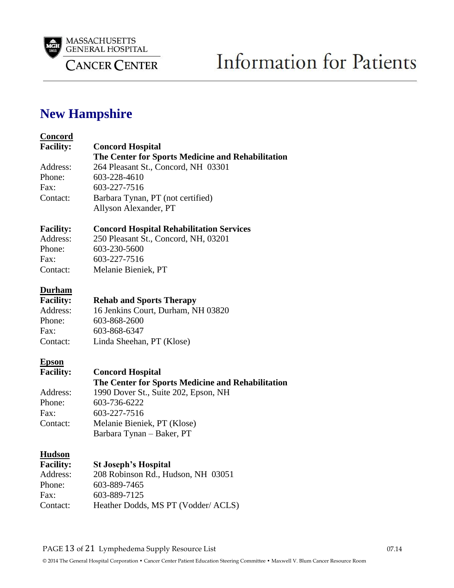

## **New Hampshire**

#### **Concord**

| <b>Facility:</b> | <b>Concord Hospital</b>                           |
|------------------|---------------------------------------------------|
|                  | The Center for Sports Medicine and Rehabilitation |
| Address:         | 264 Pleasant St., Concord, NH 03301               |
| Phone:           | 603-228-4610                                      |
| Fax:             | 603-227-7516                                      |
| Contact:         | Barbara Tynan, PT (not certified)                 |
|                  | Allyson Alexander, PT                             |
| <b>Facility:</b> | <b>Concord Hospital Rehabilitation Services</b>   |
| Address:         | 250 Pleasant St., Concord, NH, 03201              |
| Phone:           | 603-230-5600                                      |
| Fax:             | 603-227-7516                                      |
| Contact:         | Melanie Bieniek, PT                               |
| <b>Durham</b>    |                                                   |
| <b>Facility:</b> | <b>Rehab and Sports Therapy</b>                   |
| Address:         | 16 Jenkins Court, Durham, NH 03820                |
| Phone:           | 603-868-2600                                      |
| Fax:             | 603-868-6347                                      |
| Contact:         | Linda Sheehan, PT (Klose)                         |
| <b>Epson</b>     |                                                   |
| <b>Facility:</b> | <b>Concord Hospital</b>                           |
|                  | The Center for Sports Medicine and Rehabilitation |
| Address:         | 1990 Dover St., Suite 202, Epson, NH              |
| Phone:           | 603-736-6222                                      |
| Fax:             | 603-227-7516                                      |
| Contact:         | Melanie Bieniek, PT (Klose)                       |
|                  | Barbara Tynan - Baker, PT                         |
| <b>Hudson</b>    |                                                   |
| <b>Facility:</b> | <b>St Joseph's Hospital</b>                       |
| Address:         | 208 Robinson Rd., Hudson, NH 03051                |
| Phone:           | 603-889-7465                                      |
| Fax:             | 603-889-7125                                      |
| Contact:         | Heather Dodds, MS PT (Vodder/ ACLS)               |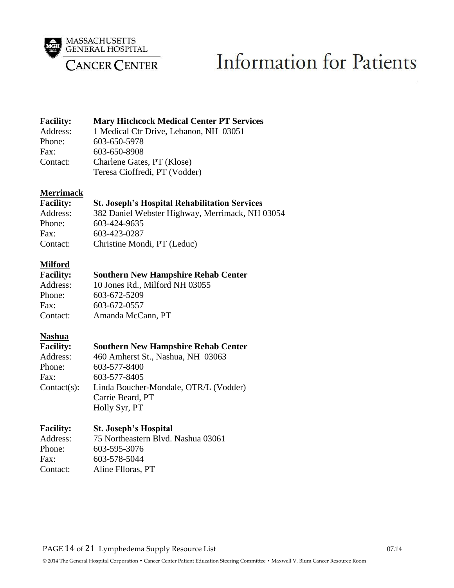

# **Information for Patients**

#### Facility: Mary Hitchcock Medical Center PT Services<br>Address: 1 Medical Ctr Drive, Lebanon, NH 03051 Address: 1 Medical Ctr Drive, Lebanon, NH 03051<br>Phone: 603-650-5978 Phone: 603-650-5978 Fax: 603-650-8908 Contact: Charlene Gates, PT (Klose) Teresa Cioffredi, PT (Vodder)

#### **Merrimack**

| <b>Facility:</b> | <b>St. Joseph's Hospital Rehabilitation Services</b> |
|------------------|------------------------------------------------------|
| Address:         | 382 Daniel Webster Highway, Merrimack, NH 03054      |
| Phone:           | 603-424-9635                                         |
| Fax:             | 603-423-0287                                         |
| Contact:         | Christine Mondi, PT (Leduc)                          |

#### **Milford**

| <b>Facility:</b> | <b>Southern New Hampshire Rehab Center</b> |
|------------------|--------------------------------------------|
| Address:         | 10 Jones Rd., Milford NH 03055             |
| Phone:           | 603-672-5209                               |
| Fax:             | 603-672-0557                               |
| Contact:         | Amanda McCann, PT                          |

#### **Nashua**

| <b>Facility:</b> | <b>Southern New Hampshire Rehab Center</b> |
|------------------|--------------------------------------------|
| Address:         | 460 Amherst St., Nashua, NH 03063          |
| Phone:           | 603-577-8400                               |
| Fax:             | 603-577-8405                               |
| $Context(s)$ :   | Linda Boucher-Mondale, OTR/L (Vodder)      |
|                  | Carrie Beard, PT                           |
|                  | Holly Syr, PT                              |

#### **Facility: St. Joseph's Hospital**

| Address: | 75 Northeastern Blvd. Nashua 03061 |
|----------|------------------------------------|
| Phone:   | 603-595-3076                       |
| Fax:     | 603-578-5044                       |
| Contact: | Aline Flloras, PT                  |
|          |                                    |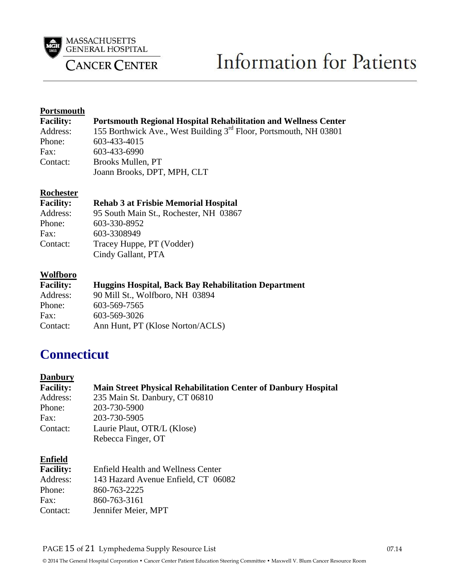

# **Information for Patients**

#### **Portsmouth**

| <b>Facility:</b> | <b>Portsmouth Regional Hospital Rehabilitation and Wellness Center</b>        |
|------------------|-------------------------------------------------------------------------------|
| Address:         | 155 Borthwick Ave., West Building 3 <sup>rd</sup> Floor, Portsmouth, NH 03801 |
| Phone:           | 603-433-4015                                                                  |
| Fax:             | 603-433-6990                                                                  |
| Contact:         | Brooks Mullen, PT                                                             |
|                  | Joann Brooks, DPT, MPH, CLT                                                   |

#### **Rochester**

#### **Facility: Rehab 3 at Frisbie Memorial Hospital**

| Address: | 95 South Main St., Rochester, NH 03867 |
|----------|----------------------------------------|
| Phone:   | 603-330-8952                           |
| Fax:     | 603-3308949                            |
| Contact: | Tracey Huppe, PT (Vodder)              |
|          | Cindy Gallant, PTA                     |
|          |                                        |

#### **Wolfboro**

| <b>Facility:</b> | <b>Huggins Hospital, Back Bay Rehabilitation Department</b> |
|------------------|-------------------------------------------------------------|
| Address:         | 90 Mill St., Wolfboro, NH 03894                             |
| Phone:           | 603-569-7565                                                |
| Fax:             | 603-569-3026                                                |
| Contact:         | Ann Hunt, PT (Klose Norton/ACLS)                            |

## **Connecticut**

#### **Danbury**

| <b>Main Street Physical Rehabilitation Center of Danbury Hospital</b> |
|-----------------------------------------------------------------------|
| 235 Main St. Danbury, CT 06810                                        |
| 203-730-5900                                                          |
| 203-730-5905                                                          |
| Laurie Plaut, OTR/L (Klose)                                           |
| Rebecca Finger, OT                                                    |
|                                                                       |

#### **Enfield**

| <b>Facility:</b> | <b>Enfield Health and Wellness Center</b> |
|------------------|-------------------------------------------|
| Address:         | 143 Hazard Avenue Enfield, CT 06082       |
| Phone:           | 860-763-2225                              |
| Fax:             | 860-763-3161                              |
| Contact:         | Jennifer Meier, MPT                       |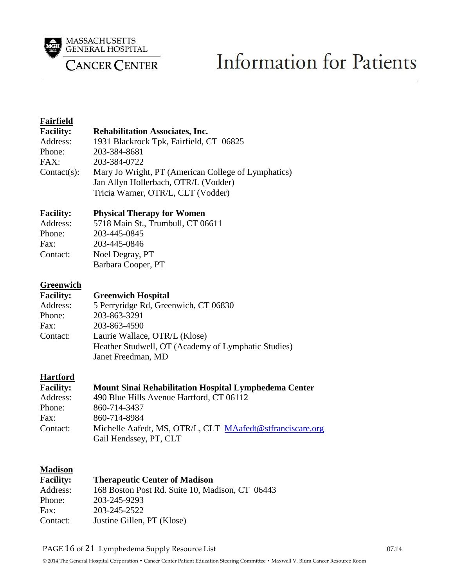

# Information for Patients

#### **Fairfield Facility: Rehabilitation Associates, Inc.**  Address: 1931 Blackrock Tpk, Fairfield, CT 06825 Phone: 203-384-8681 FAX: 203-384-0722 Contact(s): Mary Jo Wright, PT (American College of Lymphatics) Jan Allyn Hollerbach, OTR/L (Vodder) Tricia Warner, OTR/L, CLT (Vodder) **Facility: Physical Therapy for Women** Address: 5718 Main St., Trumbull, CT 06611 Phone: 203-445-0845 Fax: 203-445-0846 Contact: Noel Degray, PT Barbara Cooper, PT **Greenwich Facility: Greenwich Hospital**  Address: 5 Perryridge Rd, Greenwich, CT 06830 Phone: 203-863-3291 Fax: 203-863-4590 Contact: Laurie Wallace, OTR/L (Klose) Heather Studwell, OT (Academy of Lymphatic Studies) Janet Freedman, MD **Hartford Facility: Mount Sinai Rehabilitation Hospital Lymphedema Center** Address: 490 Blue Hills Avenue Hartford, CT 06112 Phone: 860-714-3437 Fax: 860-714-8984 Contact: Michelle Aafedt, MS, OTR/L, CLT [MAafedt@stfranciscare.org](mailto:MAafedt@stfranciscare.org) Gail Hendssey, PT, CLT **Madison Facility: Therapeutic Center of Madison** Address: 168 Boston Post Rd. Suite 10, Madison, CT 06443 Phone: 203-245-9293 Fax: 203-245-2522

Contact: Justine Gillen, PT (Klose)

PAGE 16 of 21 Lymphedema Supply Resource List 07.14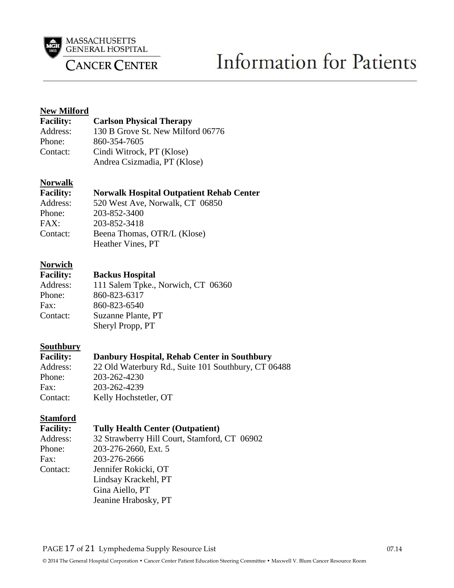

# **Information for Patients**

#### **New Milford**

| <b>Facility:</b> | <b>Carlson Physical Therapy</b>   |
|------------------|-----------------------------------|
| Address:         | 130 B Grove St. New Milford 06776 |
| Phone:           | 860-354-7605                      |
| Contact:         | Cindi Witrock, PT (Klose)         |
|                  | Andrea Csizmadia, PT (Klose)      |

#### **Norwalk**

| <b>Facility:</b> | <b>Norwalk Hospital Outpatient Rehab Center</b> |
|------------------|-------------------------------------------------|
| Address:         | 520 West Ave, Norwalk, CT 06850                 |
| Phone:           | 203-852-3400                                    |
| FAX:             | 203-852-3418                                    |
| Contact:         | Beena Thomas, OTR/L (Klose)                     |
|                  | Heather Vines, PT                               |

## **Norwich**

#### **Backus Hospital**

|          | 24.00                              |
|----------|------------------------------------|
| Address: | 111 Salem Tpke., Norwich, CT 06360 |
| Phone:   | 860-823-6317                       |
| Fax:     | 860-823-6540                       |
| Contact: | Suzanne Plante, PT                 |
|          | Sheryl Propp, PT                   |

#### **Southbury**

| <b>Facility:</b> | Danbury Hospital, Rehab Center in Southbury         |
|------------------|-----------------------------------------------------|
| Address:         | 22 Old Waterbury Rd., Suite 101 Southbury, CT 06488 |
| Phone:           | 203-262-4230                                        |
| Fax:             | 203-262-4239                                        |
| Contact:         | Kelly Hochstetler, OT                               |

#### **Stamford**

| <b>Facility:</b> | <b>Tully Health Center (Outpatient)</b>      |
|------------------|----------------------------------------------|
| Address:         | 32 Strawberry Hill Court, Stamford, CT 06902 |
| Phone:           | 203-276-2660, Ext. 5                         |
| Fax:             | 203-276-2666                                 |
| Contact:         | Jennifer Rokicki, OT                         |
|                  | Lindsay Krackehl, PT                         |
|                  | Gina Aiello, PT                              |
|                  | Jeanine Hrabosky, PT                         |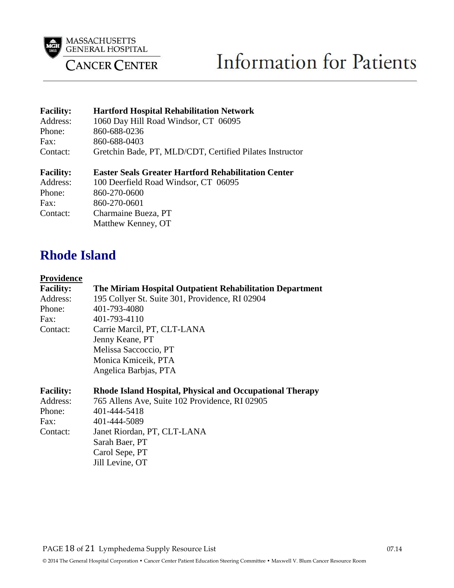

# **Information for Patients**

| <b>Facility:</b><br>Address:<br>Phone:<br>Fax:             | <b>Hartford Hospital Rehabilitation Network</b><br>1060 Day Hill Road Windsor, CT 06095<br>860-688-0236<br>860-688-0403                                                         |
|------------------------------------------------------------|---------------------------------------------------------------------------------------------------------------------------------------------------------------------------------|
| Contact:                                                   | Gretchin Bade, PT, MLD/CDT, Certified Pilates Instructor                                                                                                                        |
| <b>Facility:</b><br>Address:<br>Phone:<br>Fax:<br>Contact: | <b>Easter Seals Greater Hartford Rehabilitation Center</b><br>100 Deerfield Road Windsor, CT 06095<br>860-270-0600<br>860-270-0601<br>Charmaine Bueza, PT<br>Matthew Kenney, OT |

### **Rhode Island**

#### **Providence**

| <b>Facility:</b> | The Miriam Hospital Outpatient Rehabilitation Department |
|------------------|----------------------------------------------------------|
| Address:         | 195 Collyer St. Suite 301, Providence, RI 02904          |
| Phone:           | 401-793-4080                                             |
| Fax:             | 401-793-4110                                             |
| Contact:         | Carrie Marcil, PT, CLT-LANA                              |
|                  | Jenny Keane, PT                                          |
|                  | Melissa Saccoccio, PT                                    |
|                  | Monica Kmiceik, PTA                                      |
|                  | Angelica Barbjas, PTA                                    |
|                  |                                                          |

| <b>Facility:</b> | Rhode Island Hospital, Physical and Occupational Therapy |
|------------------|----------------------------------------------------------|
| Address:         | 765 Allens Ave, Suite 102 Providence, RI 02905           |
| Phone:           | 401-444-5418                                             |
| Fax:             | 401-444-5089                                             |
| Contact:         | Janet Riordan, PT, CLT-LANA                              |
|                  | Sarah Baer, PT                                           |
|                  | Carol Sepe, PT                                           |
|                  | Jill Levine, OT                                          |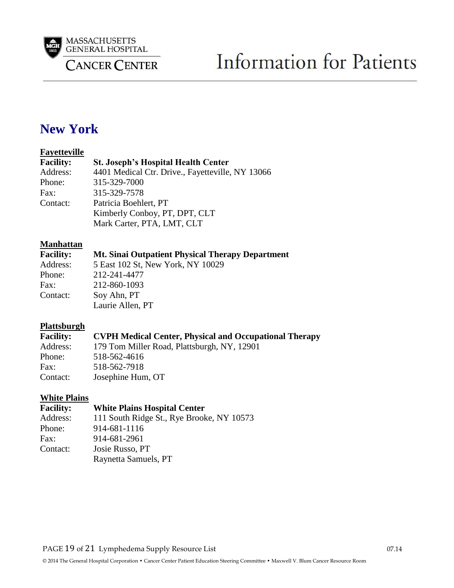

## **New York**

#### **Fayetteville**

| <b>Facility:</b> | <b>St. Joseph's Hospital Health Center</b>       |
|------------------|--------------------------------------------------|
| Address:         | 4401 Medical Ctr. Drive., Fayetteville, NY 13066 |
| Phone:           | 315-329-7000                                     |
| Fax:             | 315-329-7578                                     |
| Contact:         | Patricia Boehlert, PT                            |
|                  | Kimberly Conboy, PT, DPT, CLT                    |
|                  | Mark Carter, PTA, LMT, CLT                       |

#### **Manhattan**

| <b>Facility:</b> | Mt. Sinai Outpatient Physical Therapy Department |
|------------------|--------------------------------------------------|
| Address:         | 5 East 102 St, New York, NY 10029                |
| Phone:           | 212-241-4477                                     |
| Fax:             | 212-860-1093                                     |
| Contact:         | Soy Ahn, PT                                      |
|                  | Laurie Allen, PT                                 |

#### **Plattsburgh**

| <b>Facility:</b> | <b>CVPH Medical Center, Physical and Occupational Therapy</b> |
|------------------|---------------------------------------------------------------|
| Address:         | 179 Tom Miller Road, Plattsburgh, NY, 12901                   |
| Phone:           | 518-562-4616                                                  |
| Fax:             | 518-562-7918                                                  |
| Contact:         | Josephine Hum, OT                                             |

#### **White Plains**

| <b>Facility:</b> | <b>White Plains Hospital Center</b>       |
|------------------|-------------------------------------------|
| Address:         | 111 South Ridge St., Rye Brooke, NY 10573 |
| Phone:           | 914-681-1116                              |
| Fax:             | 914-681-2961                              |
| Contact:         | Josie Russo, PT                           |
|                  | Raynetta Samuels, PT                      |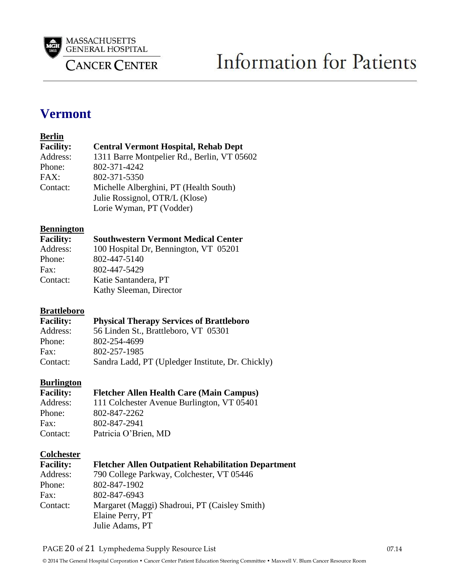

### **Vermont**

#### **Berlin**

| <b>Facility:</b> | <b>Central Vermont Hospital, Rehab Dept</b> |
|------------------|---------------------------------------------|
| Address:         | 1311 Barre Montpelier Rd., Berlin, VT 05602 |
| Phone:           | 802-371-4242                                |
| FAX:             | 802-371-5350                                |
| Contact:         | Michelle Alberghini, PT (Health South)      |
|                  | Julie Rossignol, OTR/L (Klose)              |
|                  | Lorie Wyman, PT (Vodder)                    |

# **Bennington**<br>Facility:

#### **Facility: Southwestern Vermont Medical Center**

| Address: | 100 Hospital Dr, Bennington, VT 05201 |
|----------|---------------------------------------|
| Phone:   | 802-447-5140                          |
| Fax:     | 802-447-5429                          |
| Contact: | Katie Santandera, PT                  |
|          | Kathy Sleeman, Director               |
|          |                                       |

#### **Brattleboro**

| <b>Facility:</b> | <b>Physical Therapy Services of Brattleboro</b>   |
|------------------|---------------------------------------------------|
| Address:         | 56 Linden St., Brattleboro, VT 05301              |
| Phone:           | 802-254-4699                                      |
| Fax:             | 802-257-1985                                      |
| Contact:         | Sandra Ladd, PT (Upledger Institute, Dr. Chickly) |

#### **Burlington**

| <b>Facility:</b> | <b>Fletcher Allen Health Care (Main Campus)</b> |
|------------------|-------------------------------------------------|
| Address:         | 111 Colchester Avenue Burlington, VT 05401      |
| Phone:           | 802-847-2262                                    |
| Fax:             | 802-847-2941                                    |
| Contact:         | Patricia O'Brien, MD                            |

#### **Colchester**

| <b>Facility:</b> | <b>Fletcher Allen Outpatient Rehabilitation Department</b> |
|------------------|------------------------------------------------------------|
| Address:         | 790 College Parkway, Colchester, VT 05446                  |
| Phone:           | 802-847-1902                                               |
| Fax:             | 802-847-6943                                               |
| Contact:         | Margaret (Maggi) Shadroui, PT (Caisley Smith)              |
|                  | Elaine Perry, PT                                           |
|                  | Julie Adams, PT                                            |

PAGE 20 of 21 Lymphedema Supply Resource List 07.14